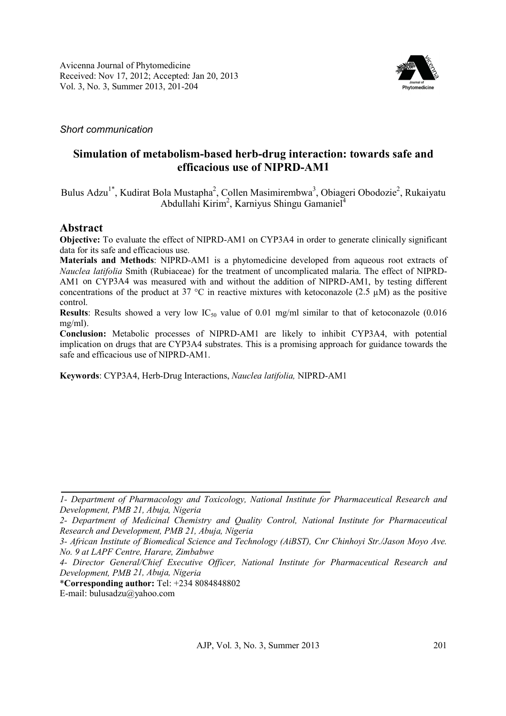

## *Short communication*

# **Simulation of metabolism-based herb-drug interaction: towards safe and efficacious use of NIPRD-AM1**

Bulus Adzu<sup>1\*</sup>, Kudirat Bola Mustapha<sup>2</sup>, Collen Masimirembwa<sup>3</sup>, Obiageri Obodozie<sup>2</sup>, Rukaiyatu Abdullahi Kirim<sup>2</sup>, Karniyus Shingu Gamaniel<sup>4</sup>

## **Abstract**

**Objective:** To evaluate the effect of NIPRD-AM1 on CYP3A4 in order to generate clinically significant data for its safe and efficacious use.

**Materials and Methods**: NIPRD-AM1 is a phytomedicine developed from aqueous root extracts of *Nauclea latifolia* Smith (Rubiaceae) for the treatment of uncomplicated malaria. The effect of NIPRD-AM1 on CYP3A4 was measured with and without the addition of NIPRD-AM1, by testing different concentrations of the product at 37  $^{\circ}$ C in reactive mixtures with ketoconazole (2.5 µM) as the positive control.

**Results**: Results showed a very low  $IC_{50}$  value of 0.01 mg/ml similar to that of ketoconazole (0.016) mg/ml).

**Conclusion:** Metabolic processes of NIPRD-AM1 are likely to inhibit CYP3A4, with potential implication on drugs that are CYP3A4 substrates. This is a promising approach for guidance towards the safe and efficacious use of NIPRD-AM1.

**Keywords**: CYP3A4, Herb-Drug Interactions, *Nauclea latifolia,* NIPRD-AM1

\***Corresponding author:** Tel: +234 8084848802

E-mail: bulusadzu@yahoo.com

*<sup>1-</sup> Department of Pharmacology and Toxicology, National Institute for Pharmaceutical Research and Development, PMB 21, Abuja, Nigeria* 

*<sup>2-</sup> Department of Medicinal Chemistry and Quality Control, National Institute for Pharmaceutical Research and Development, PMB 21, Abuja, Nigeria*

*<sup>3-</sup> African Institute of Biomedical Science and Technology (AiBST), Cnr Chinhoyi Str./Jason Moyo Ave. No. 9 at LAPF Centre, Harare, Zimbabwe*

*<sup>4-</sup> Director General/Chief Executive Officer, National Institute for Pharmaceutical Research and Development, PMB 21, Abuja, Nigeria*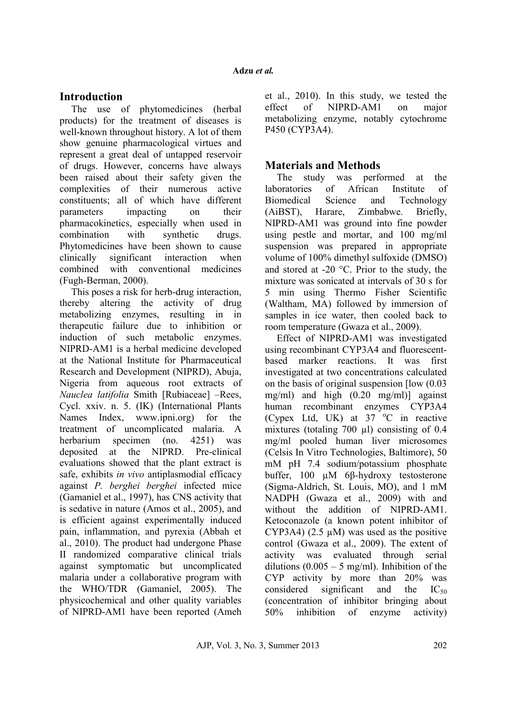## **Introduction**

The use of phytomedicines (herbal products) for the treatment of diseases is well-known throughout history. A lot of them show genuine pharmacological virtues and represent a great deal of untapped reservoir of drugs. However, concerns have always been raised about their safety given the complexities of their numerous active constituents; all of which have different parameters impacting on their pharmacokinetics, especially when used in combination with synthetic drugs. Phytomedicines have been shown to cause clinically significant interaction when combined with conventional medicines (Fugh-Berman, 2000).

This poses a risk for herb-drug interaction, thereby altering the activity of drug metabolizing enzymes, resulting in in therapeutic failure due to inhibition or induction of such metabolic enzymes. NIPRD-AM1 is a herbal medicine developed at the National Institute for Pharmaceutical Research and Development (NIPRD), Abuja, Nigeria from aqueous root extracts of *Nauclea latifolia* Smith [Rubiaceae] –Rees, Cycl. xxiv. n. 5. (IK) (International Plants Names Index, www.ipni.org) for the treatment of uncomplicated malaria. A herbarium specimen (no. 4251) was deposited at the NIPRD. Pre-clinical evaluations showed that the plant extract is safe, exhibits *in vivo* antiplasmodial efficacy against *P. berghei berghei* infected mice (Gamaniel et al., 1997), has CNS activity that is sedative in nature (Amos et al., 2005), and is efficient against experimentally induced pain, inflammation, and pyrexia (Abbah et al., 2010). The product had undergone Phase II randomized comparative clinical trials against symptomatic but uncomplicated malaria under a collaborative program with the WHO/TDR (Gamaniel, 2005). The physicochemical and other quality variables of NIPRD-AM1 have been reported (Ameh et al., 2010). In this study, we tested the effect of NIPRD-AM1 on major metabolizing enzyme, notably cytochrome P450 (CYP3A4).

# **Materials and Methods**

The study was performed at the laboratories of African Institute of Biomedical Science and Technology (AiBST), Harare, Zimbabwe. Briefly, NIPRD-AM1 was ground into fine powder using pestle and mortar, and 100 mg/ml suspension was prepared in appropriate volume of 100% dimethyl sulfoxide (DMSO) and stored at -20 °C. Prior to the study, the mixture was sonicated at intervals of 30 s for 5 min using Thermo Fisher Scientific (Waltham, MA) followed by immersion of samples in ice water, then cooled back to room temperature (Gwaza et al., 2009).

Effect of NIPRD-AM1 was investigated using recombinant CYP3A4 and fluorescentbased marker reactions. It was first investigated at two concentrations calculated on the basis of original suspension [low (0.03 mg/ml) and high (0.20 mg/ml)] against human recombinant enzymes CYP3A4 (Cypex Ltd, UK) at  $37 \degree$ C in reactive mixtures (totaling 700 µl) consisting of 0.4 mg/ml pooled human liver microsomes (Celsis In Vitro Technologies, Baltimore), 50 mM pH 7.4 sodium/potassium phosphate buffer, 100 µM 6β-hydroxy testosterone (Sigma-Aldrich, St. Louis, MO), and 1 mM NADPH (Gwaza et al., 2009) with and without the addition of NIPRD-AM1. Ketoconazole (a known potent inhibitor of CYP3A4) (2.5  $\mu$ M) was used as the positive control (Gwaza et al., 2009). The extent of activity was evaluated through serial dilutions  $(0.005 - 5$  mg/ml). Inhibition of the CYP activity by more than 20% was considered significant and the  $IC_{50}$ (concentration of inhibitor bringing about 50% inhibition of enzyme activity)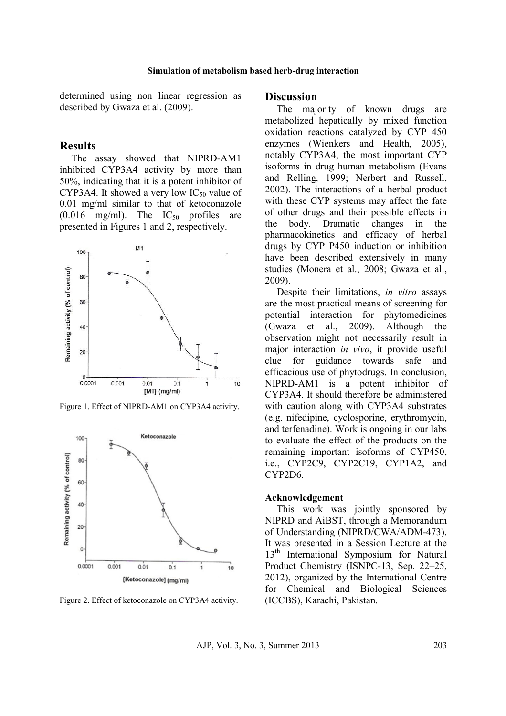determined using non linear regression as described by Gwaza et al. (2009).

### **Results**

The assay showed that NIPRD-AM1 inhibited CYP3A4 activity by more than 50%, indicating that it is a potent inhibitor of CYP3A4. It showed a very low  $IC_{50}$  value of 0.01 mg/ml similar to that of ketoconazole  $(0.016 \text{ mg/ml})$ . The  $IC_{50}$  profiles are presented in Figures 1 and 2, respectively.



Figure 1. Effect of NIPRD-AM1 on CYP3A4 activity.



Figure 2. Effect of ketoconazole on CYP3A4 activity.

### **Discussion**

The majority of known drugs are metabolized hepatically by mixed function oxidation reactions catalyzed by CYP 450 enzymes (Wienkers and Health, 2005), notably CYP3A4, the most important CYP isoforms in drug human metabolism (Evans and Relling, 1999; Nerbert and Russell, 2002). The interactions of a herbal product with these CYP systems may affect the fate of other drugs and their possible effects in the body. Dramatic changes in the pharmacokinetics and efficacy of herbal drugs by CYP P450 induction or inhibition have been described extensively in many studies (Monera et al., 2008; Gwaza et al., 2009).

Despite their limitations, *in vitro* assays are the most practical means of screening for potential interaction for phytomedicines (Gwaza et al., 2009). Although the observation might not necessarily result in major interaction *in vivo*, it provide useful clue for guidance towards safe and efficacious use of phytodrugs. In conclusion, NIPRD-AM1 is a potent inhibitor of CYP3A4. It should therefore be administered with caution along with CYP3A4 substrates (e.g. nifedipine, cyclosporine, erythromycin, and terfenadine). Work is ongoing in our labs to evaluate the effect of the products on the remaining important isoforms of CYP450, i.e., CYP2C9, CYP2C19, CYP1A2, and CYP2D6.

### **Acknowledgement**

This work was jointly sponsored by NIPRD and AiBST, through a Memorandum of Understanding (NIPRD/CWA/ADM-473). It was presented in a Session Lecture at the 13<sup>th</sup> International Symposium for Natural Product Chemistry (ISNPC-13, Sep. 22–25, 2012), organized by the International Centre for Chemical and Biological Sciences (ICCBS), Karachi, Pakistan.